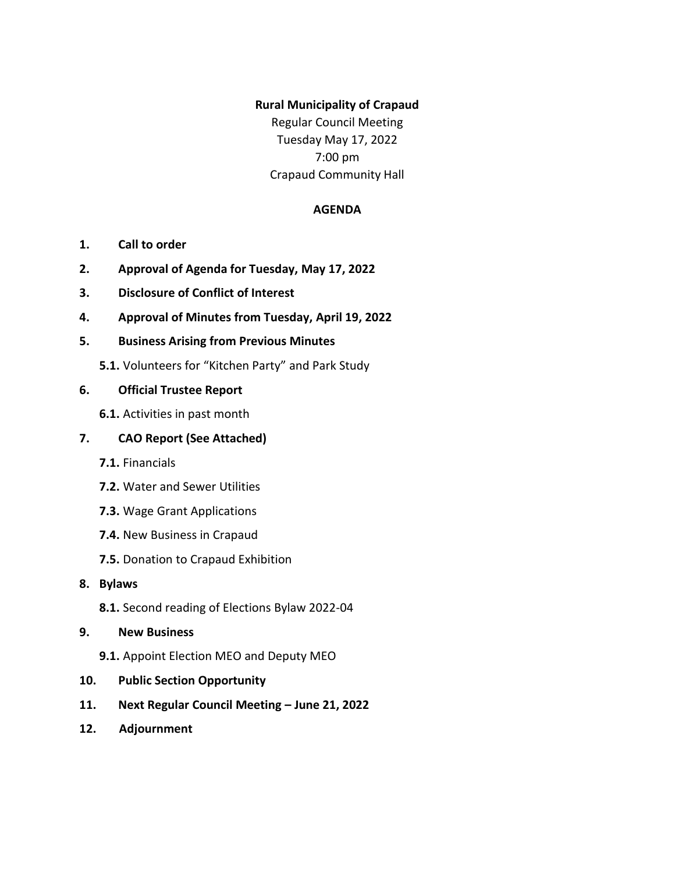#### **Rural Municipality of Crapaud**

Regular Council Meeting Tuesday May 17, 2022 7:00 pm Crapaud Community Hall

#### **AGENDA**

- **1. Call to order**
- **2. Approval of Agenda for Tuesday, May 17, 2022**
- **3. Disclosure of Conflict of Interest**
- **4. Approval of Minutes from Tuesday, April 19, 2022**

#### **5. Business Arising from Previous Minutes**

**5.1.** Volunteers for "Kitchen Party" and Park Study

#### **6. Official Trustee Report**

**6.1.** Activities in past month

### **7. CAO Report (See Attached)**

- **7.1.** Financials
- **7.2.** Water and Sewer Utilities
- **7.3.** Wage Grant Applications
- **7.4.** New Business in Crapaud
- **7.5.** Donation to Crapaud Exhibition
- **8. Bylaws** 
	- **8.1.** Second reading of Elections Bylaw 2022-04
- **9. New Business**
	- **9.1.** Appoint Election MEO and Deputy MEO
- **10. Public Section Opportunity**
- **11. Next Regular Council Meeting – June 21, 2022**
- **12. Adjournment**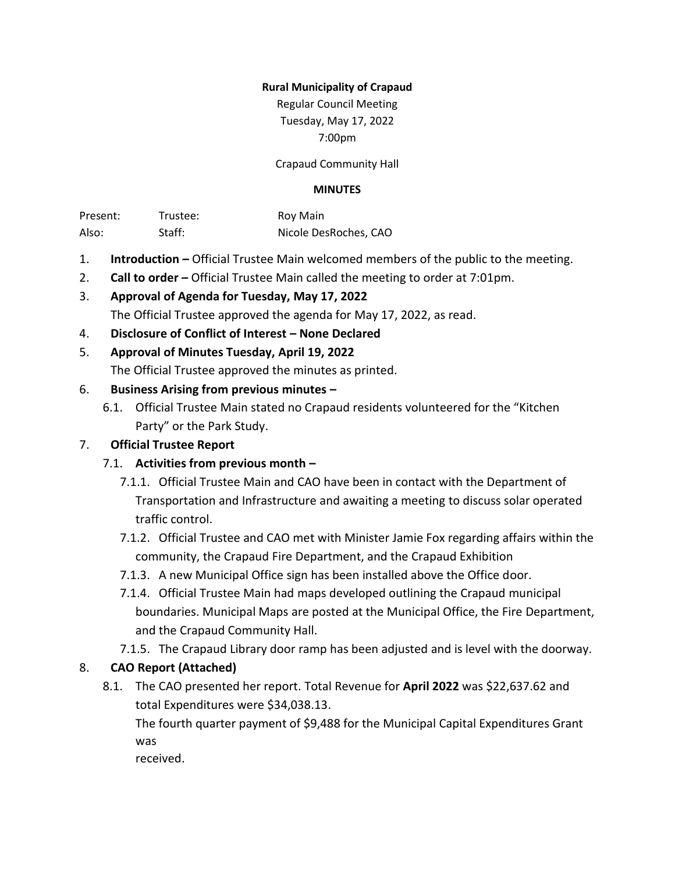#### **Rural Municipality of Crapaud**

Regular Council Meeting Tuesday, May 17, 2022 7:00pm

Crapaud Community Hall

#### **MINUTES**

Present: Trustee: Roy Main Also: Staff: Staff: Nicole DesRoches, CAO

- 1. **Introduction –** Official Trustee Main welcomed members of the public to the meeting.
- 2. **Call to order –** Official Trustee Main called the meeting to order at 7:01pm.
- 3. **Approval of Agenda for Tuesday, May 17, 2022** The Official Trustee approved the agenda for May 17, 2022, as read.
- 4. **Disclosure of Conflict of Interest – None Declared**

## 5. **Approval of Minutes Tuesday, April 19, 2022**

The Official Trustee approved the minutes as printed.

#### 6. **Business Arising from previous minutes –**

6.1. Official Trustee Main stated no Crapaud residents volunteered for the "Kitchen Party" or the Park Study.

## 7. **Official Trustee Report**

## 7.1. **Activities from previous month –**

- 7.1.1. Official Trustee Main and CAO have been in contact with the Department of Transportation and Infrastructure and awaiting a meeting to discuss solar operated traffic control.
- 7.1.2. Official Trustee and CAO met with Minister Jamie Fox regarding affairs within the community, the Crapaud Fire Department, and the Crapaud Exhibition
- 7.1.3. A new Municipal Office sign has been installed above the Office door.
- 7.1.4. Official Trustee Main had maps developed outlining the Crapaud municipal boundaries. Municipal Maps are posted at the Municipal Office, the Fire Department, and the Crapaud Community Hall.
- 7.1.5. The Crapaud Library door ramp has been adjusted and is level with the doorway.

## 8. **CAO Report (Attached)**

8.1. The CAO presented her report. Total Revenue for **April 2022** was \$22,637.62 and total Expenditures were \$34,038.13.

The fourth quarter payment of \$9,488 for the Municipal Capital Expenditures Grant was

received.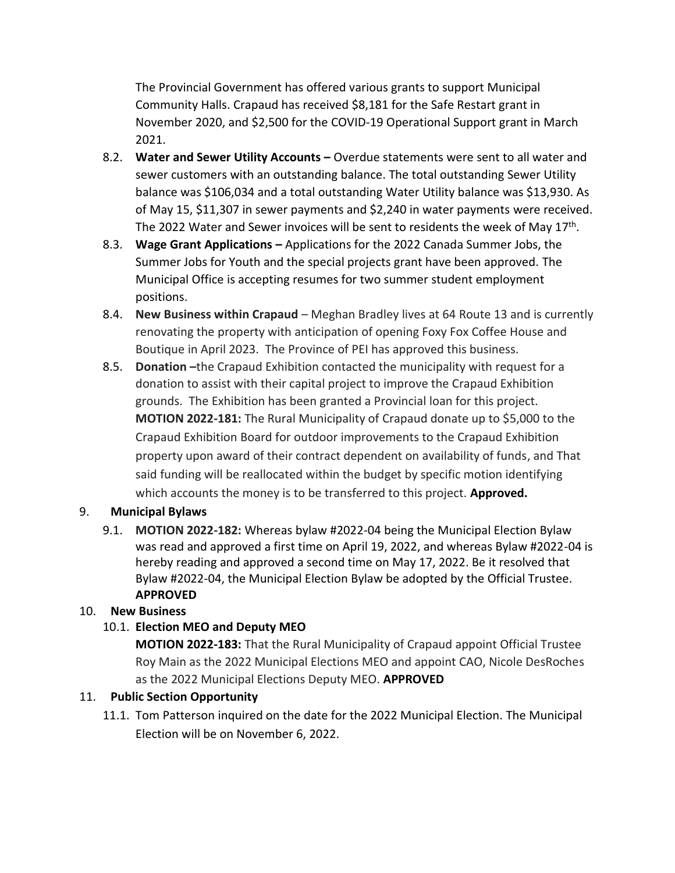The Provincial Government has offered various grants to support Municipal Community Halls. Crapaud has received \$8,181 for the Safe Restart grant in November 2020, and \$2,500 for the COVID-19 Operational Support grant in March 2021.

- 8.2. **Water and Sewer Utility Accounts –** Overdue statements were sent to all water and sewer customers with an outstanding balance. The total outstanding Sewer Utility balance was \$106,034 and a total outstanding Water Utility balance was \$13,930. As of May 15, \$11,307 in sewer payments and \$2,240 in water payments were received. The 2022 Water and Sewer invoices will be sent to residents the week of May  $17^{\text{th}}$ .
- 8.3. **Wage Grant Applications –** Applications for the 2022 Canada Summer Jobs, the Summer Jobs for Youth and the special projects grant have been approved. The Municipal Office is accepting resumes for two summer student employment positions.
- 8.4. **New Business within Crapaud** Meghan Bradley lives at 64 Route 13 and is currently renovating the property with anticipation of opening Foxy Fox Coffee House and Boutique in April 2023. The Province of PEI has approved this business.
- 8.5. **Donation –**the Crapaud Exhibition contacted the municipality with request for a donation to assist with their capital project to improve the Crapaud Exhibition grounds. The Exhibition has been granted a Provincial loan for this project. **MOTION 2022-181:** The Rural Municipality of Crapaud donate up to \$5,000 to the Crapaud Exhibition Board for outdoor improvements to the Crapaud Exhibition property upon award of their contract dependent on availability of funds, and That said funding will be reallocated within the budget by specific motion identifying which accounts the money is to be transferred to this project. **Approved.**

# 9. **Municipal Bylaws**

9.1. **MOTION 2022-182:** Whereas bylaw #2022-04 being the Municipal Election Bylaw was read and approved a first time on April 19, 2022, and whereas Bylaw #2022-04 is hereby reading and approved a second time on May 17, 2022. Be it resolved that Bylaw #2022-04, the Municipal Election Bylaw be adopted by the Official Trustee. **APPROVED**

# 10. **New Business**

# 10.1. **Election MEO and Deputy MEO**

**MOTION 2022-183:** That the Rural Municipality of Crapaud appoint Official Trustee Roy Main as the 2022 Municipal Elections MEO and appoint CAO, Nicole DesRoches as the 2022 Municipal Elections Deputy MEO. **APPROVED**

# 11. **Public Section Opportunity**

11.1. Tom Patterson inquired on the date for the 2022 Municipal Election. The Municipal Election will be on November 6, 2022.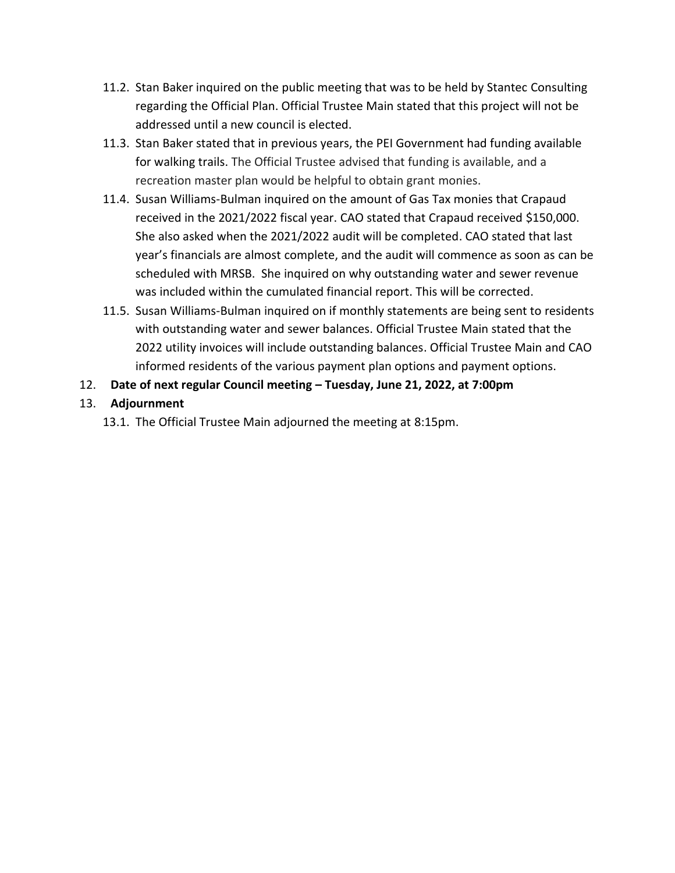- 11.2. Stan Baker inquired on the public meeting that was to be held by Stantec Consulting regarding the Official Plan. Official Trustee Main stated that this project will not be addressed until a new council is elected.
- 11.3. Stan Baker stated that in previous years, the PEI Government had funding available for walking trails. The Official Trustee advised that funding is available, and a recreation master plan would be helpful to obtain grant monies.
- 11.4. Susan Williams-Bulman inquired on the amount of Gas Tax monies that Crapaud received in the 2021/2022 fiscal year. CAO stated that Crapaud received \$150,000. She also asked when the 2021/2022 audit will be completed. CAO stated that last year's financials are almost complete, and the audit will commence as soon as can be scheduled with MRSB. She inquired on why outstanding water and sewer revenue was included within the cumulated financial report. This will be corrected.
- 11.5. Susan Williams-Bulman inquired on if monthly statements are being sent to residents with outstanding water and sewer balances. Official Trustee Main stated that the 2022 utility invoices will include outstanding balances. Official Trustee Main and CAO informed residents of the various payment plan options and payment options.

# 12. **Date of next regular Council meeting – Tuesday, June 21, 2022, at 7:00pm**

# 13. **Adjournment**

13.1. The Official Trustee Main adjourned the meeting at 8:15pm.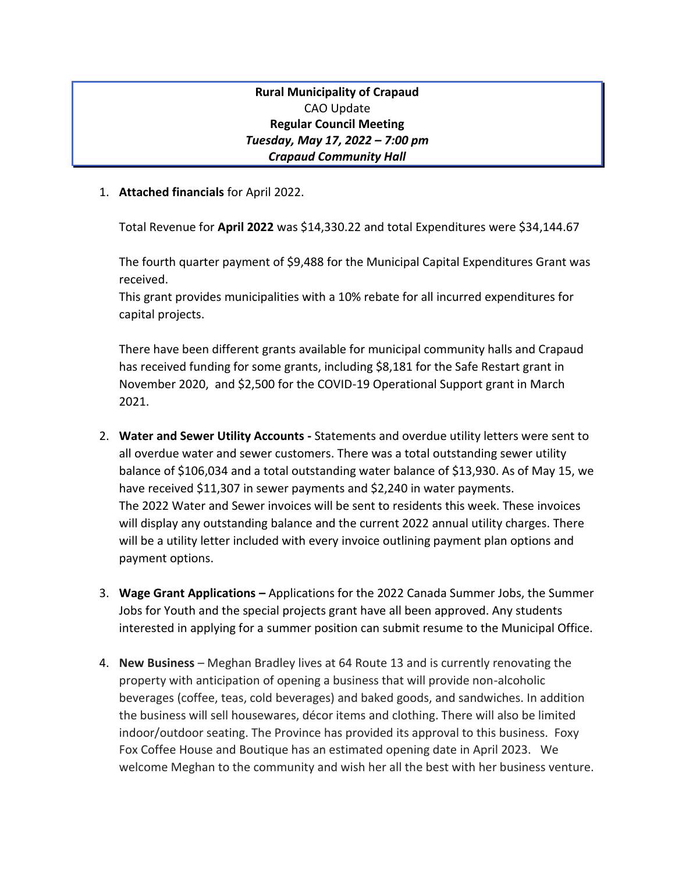**Rural Municipality of Crapaud** CAO Update **Regular Council Meeting**  *Tuesday, May 17, 2022 – 7:00 pm Crapaud Community Hall*

1. **Attached financials** for April 2022.

Total Revenue for **April 2022** was \$14,330.22 and total Expenditures were \$34,144.67

The fourth quarter payment of \$9,488 for the Municipal Capital Expenditures Grant was received.

This grant provides municipalities with a 10% rebate for all incurred expenditures for capital projects.

There have been different grants available for municipal community halls and Crapaud has received funding for some grants, including \$8,181 for the Safe Restart grant in November 2020, and \$2,500 for the COVID-19 Operational Support grant in March 2021.

- 2. **Water and Sewer Utility Accounts -** Statements and overdue utility letters were sent to all overdue water and sewer customers. There was a total outstanding sewer utility balance of \$106,034 and a total outstanding water balance of \$13,930. As of May 15, we have received \$11,307 in sewer payments and \$2,240 in water payments. The 2022 Water and Sewer invoices will be sent to residents this week. These invoices will display any outstanding balance and the current 2022 annual utility charges. There will be a utility letter included with every invoice outlining payment plan options and payment options.
- 3. **Wage Grant Applications –** Applications for the 2022 Canada Summer Jobs, the Summer Jobs for Youth and the special projects grant have all been approved. Any students interested in applying for a summer position can submit resume to the Municipal Office.
- 4. **New Business** Meghan Bradley lives at 64 Route 13 and is currently renovating the property with anticipation of opening a business that will provide non-alcoholic beverages (coffee, teas, cold beverages) and baked goods, and sandwiches. In addition the business will sell housewares, décor items and clothing. There will also be limited indoor/outdoor seating. The Province has provided its approval to this business. Foxy Fox Coffee House and Boutique has an estimated opening date in April 2023. We welcome Meghan to the community and wish her all the best with her business venture.